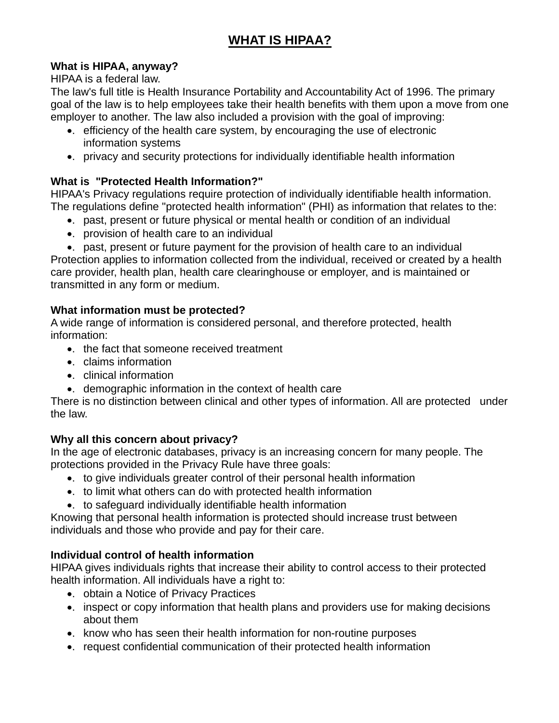# **WHAT IS HIPAA?**

## **What is HIPAA, anyway?**

HIPAA is a federal law.

The law's full title is Health Insurance Portability and Accountability Act of 1996. The primary goal of the law is to help employees take their health benefits with them upon a move from one employer to another. The law also included a provision with the goal of improving:

- •. efficiency of the health care system, by encouraging the use of electronic information systems
- •. privacy and security protections for individually identifiable health information

# **What is "Protected Health Information?"**

HIPAA's Privacy regulations require protection of individually identifiable health information. The regulations define "protected health information" (PHI) as information that relates to the:

- •. past, present or future physical or mental health or condition of an individual
- •. provision of health care to an individual
- •. past, present or future payment for the provision of health care to an individual

Protection applies to information collected from the individual, received or created by a health care provider, health plan, health care clearinghouse or employer, and is maintained or transmitted in any form or medium.

## **What information must be protected?**

A wide range of information is considered personal, and therefore protected, health information:

- •. the fact that someone received treatment
- •. claims information
- •. clinical information
- •. demographic information in the context of health care

There is no distinction between clinical and other types of information. All are protected under the law.

# **Why all this concern about privacy?**

In the age of electronic databases, privacy is an increasing concern for many people. The protections provided in the Privacy Rule have three goals:

- •. to give individuals greater control of their personal health information
- •. to limit what others can do with protected health information
- •. to safeguard individually identifiable health information

Knowing that personal health information is protected should increase trust between individuals and those who provide and pay for their care.

# **Individual control of health information**

HIPAA gives individuals rights that increase their ability to control access to their protected health information. All individuals have a right to:

- •. obtain a Notice of Privacy Practices
- •. inspect or copy information that health plans and providers use for making decisions about them
- •. know who has seen their health information for non-routine purposes
- •. request confidential communication of their protected health information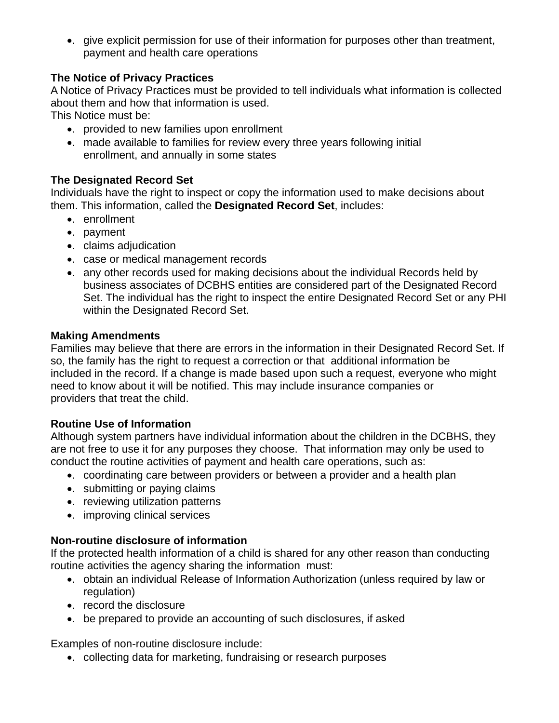•. give explicit permission for use of their information for purposes other than treatment, payment and health care operations

## **The Notice of Privacy Practices**

A Notice of Privacy Practices must be provided to tell individuals what information is collected about them and how that information is used.

This Notice must be:

- •. provided to new families upon enrollment
- •. made available to families for review every three years following initial enrollment, and annually in some states

#### **The Designated Record Set**

Individuals have the right to inspect or copy the information used to make decisions about them. This information, called the **Designated Record Set**, includes:

- •. enrollment
- •. payment
- •. claims adjudication
- •. case or medical management records
- •. any other records used for making decisions about the individual Records held by business associates of DCBHS entities are considered part of the Designated Record Set. The individual has the right to inspect the entire Designated Record Set or any PHI within the Designated Record Set.

#### **Making Amendments**

Families may believe that there are errors in the information in their Designated Record Set. If so, the family has the right to request a correction or that additional information be included in the record. If a change is made based upon such a request, everyone who might need to know about it will be notified. This may include insurance companies or providers that treat the child.

#### **Routine Use of Information**

Although system partners have individual information about the children in the DCBHS, they are not free to use it for any purposes they choose. That information may only be used to conduct the routine activities of payment and health care operations, such as:

- •. coordinating care between providers or between a provider and a health plan
- •. submitting or paying claims
- •. reviewing utilization patterns
- •. improving clinical services

#### **Non-routine disclosure of information**

If the protected health information of a child is shared for any other reason than conducting routine activities the agency sharing the information must:

- •. obtain an individual Release of Information Authorization (unless required by law or regulation)
- •. record the disclosure
- •. be prepared to provide an accounting of such disclosures, if asked

Examples of non-routine disclosure include:

•. collecting data for marketing, fundraising or research purposes